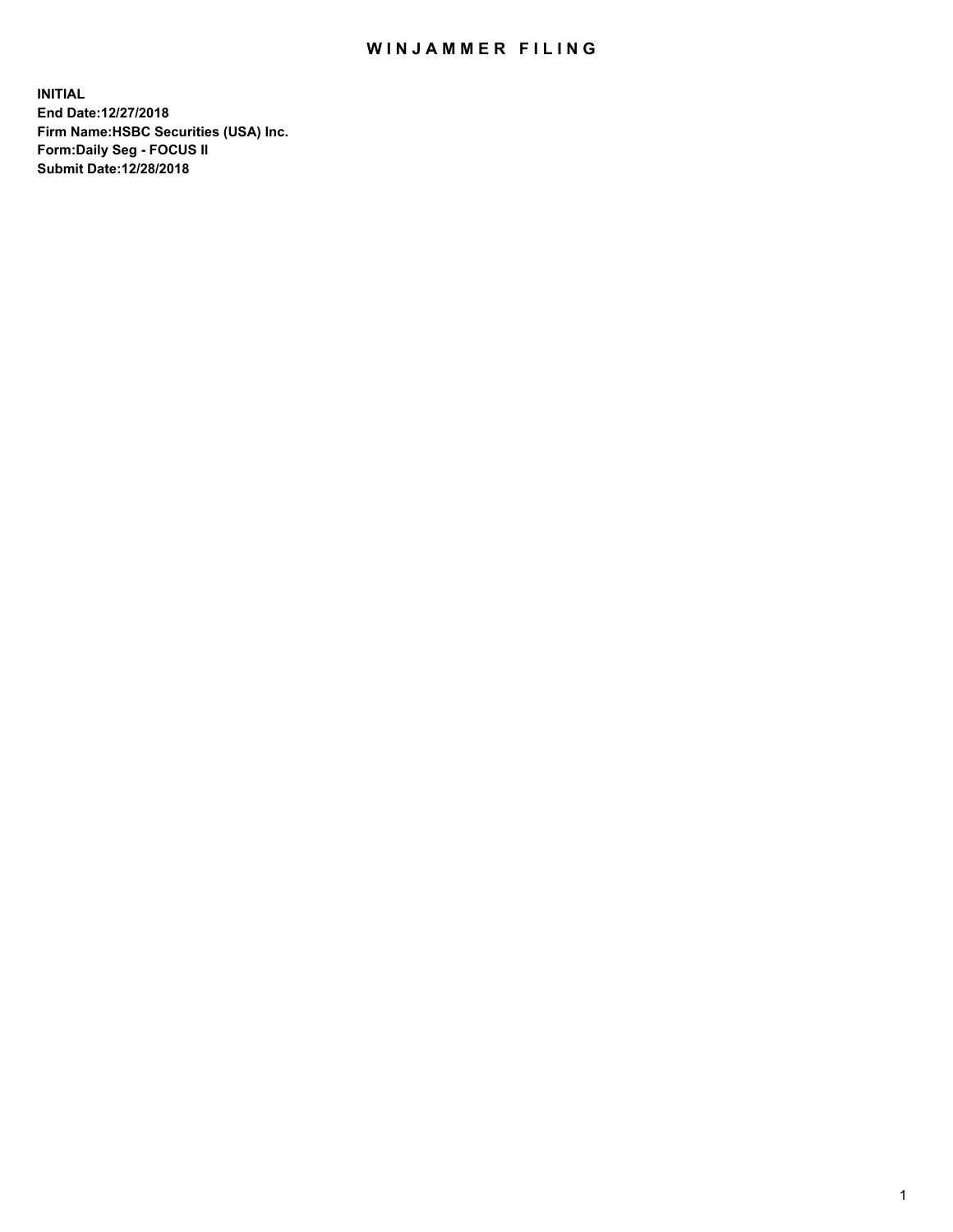## WIN JAMMER FILING

**INITIAL End Date:12/27/2018 Firm Name:HSBC Securities (USA) Inc. Form:Daily Seg - FOCUS II Submit Date:12/28/2018**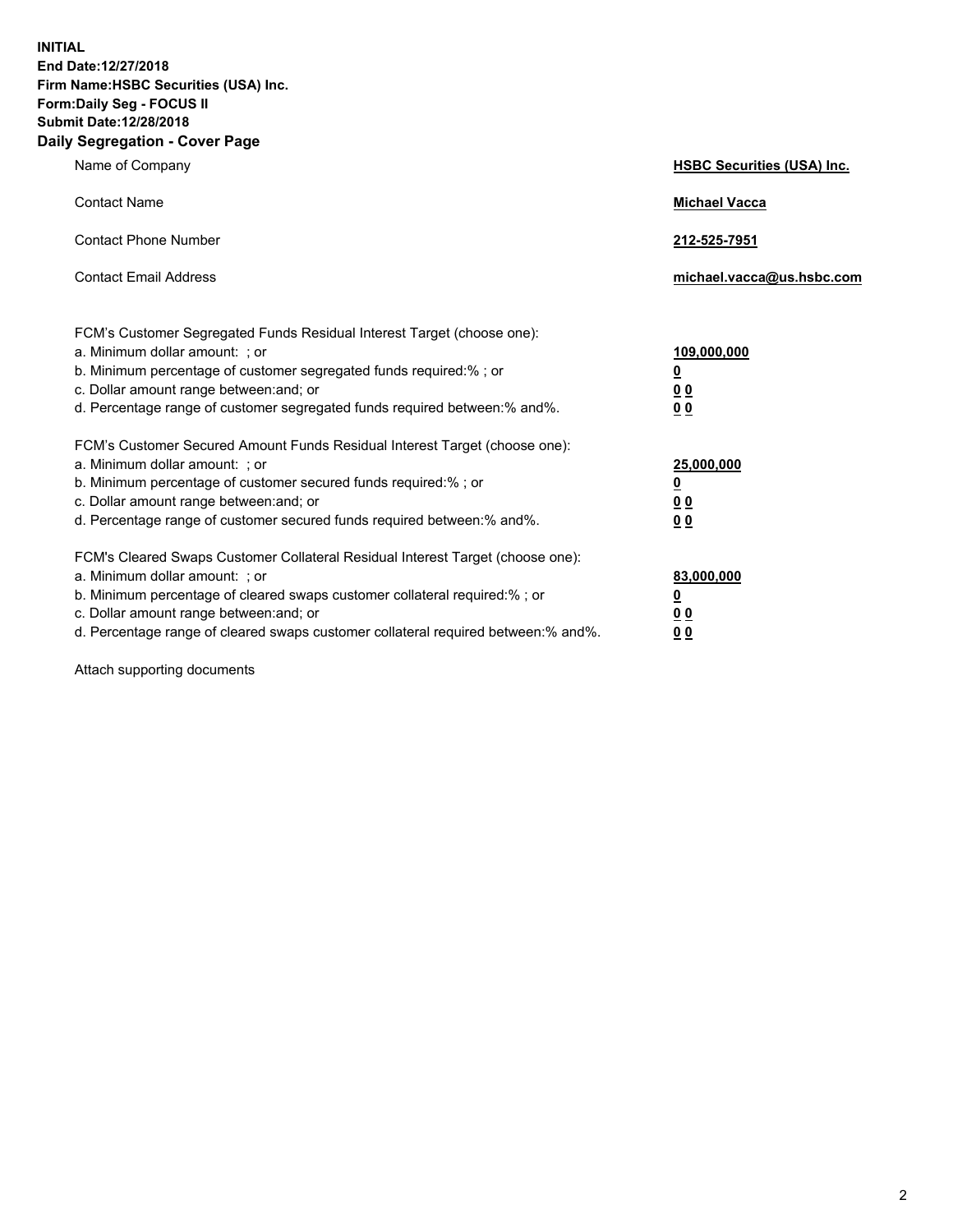**INITIAL End Date:12/27/2018 Firm Name:HSBC Securities (USA) Inc. Form:Daily Seg - FOCUS II Submit Date:12/28/2018 Daily Segregation - Cover Page**

| Name of Company                                                                                                                                                                                                                                                                                                                | <b>HSBC Securities (USA) Inc.</b>                          |
|--------------------------------------------------------------------------------------------------------------------------------------------------------------------------------------------------------------------------------------------------------------------------------------------------------------------------------|------------------------------------------------------------|
| <b>Contact Name</b>                                                                                                                                                                                                                                                                                                            | <b>Michael Vacca</b>                                       |
| <b>Contact Phone Number</b>                                                                                                                                                                                                                                                                                                    | 212-525-7951                                               |
| <b>Contact Email Address</b>                                                                                                                                                                                                                                                                                                   | michael.vacca@us.hsbc.com                                  |
| FCM's Customer Segregated Funds Residual Interest Target (choose one):<br>a. Minimum dollar amount: ; or<br>b. Minimum percentage of customer segregated funds required:% ; or<br>c. Dollar amount range between: and; or<br>d. Percentage range of customer segregated funds required between:% and%.                         | 109,000,000<br>₫<br>0 <sub>0</sub><br>0 <sub>0</sub>       |
| FCM's Customer Secured Amount Funds Residual Interest Target (choose one):<br>a. Minimum dollar amount: ; or<br>b. Minimum percentage of customer secured funds required:% ; or<br>c. Dollar amount range between: and; or<br>d. Percentage range of customer secured funds required between: % and %.                         | 25,000,000<br><u>0</u><br>0 <sub>0</sub><br>0 <sub>0</sub> |
| FCM's Cleared Swaps Customer Collateral Residual Interest Target (choose one):<br>a. Minimum dollar amount: ; or<br>b. Minimum percentage of cleared swaps customer collateral required:% ; or<br>c. Dollar amount range between: and; or<br>d. Percentage range of cleared swaps customer collateral required between:% and%. | 83,000,000<br><u>0</u><br><u>00</u><br>00                  |

Attach supporting documents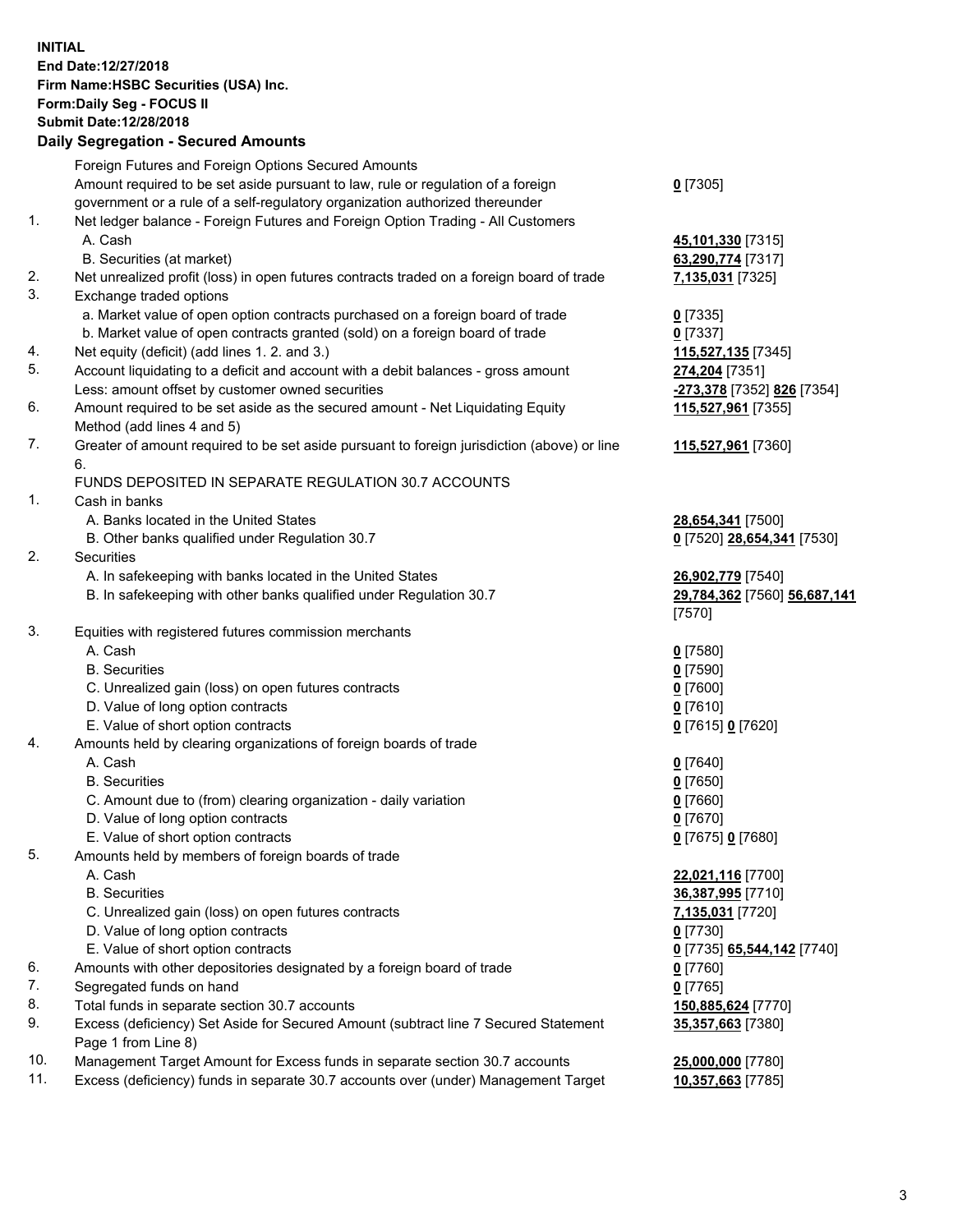**INITIAL End Date:12/27/2018 Firm Name:HSBC Securities (USA) Inc. Form:Daily Seg - FOCUS II Submit Date:12/28/2018 Daily Segregation - Secured Amounts** Foreign Futures and Foreign Options Secured Amounts Amount required to be set aside pursuant to law, rule or regulation of a foreign government or a rule of a self-regulatory organization authorized thereunder **0** [7305] 1. Net ledger balance - Foreign Futures and Foreign Option Trading - All Customers A. Cash **45,101,330** [7315] B. Securities (at market) **63,290,774** [7317] 2. Net unrealized profit (loss) in open futures contracts traded on a foreign board of trade **7,135,031** [7325] 3. Exchange traded options a. Market value of open option contracts purchased on a foreign board of trade **0** [7335] b. Market value of open contracts granted (sold) on a foreign board of trade **0** [7337] 4. Net equity (deficit) (add lines 1. 2. and 3.) **115,527,135** [7345] 5. Account liquidating to a deficit and account with a debit balances - gross amount **274,204** [7351] Less: amount offset by customer owned securities **-273,378** [7352] **826** [7354] 6. Amount required to be set aside as the secured amount - Net Liquidating Equity Method (add lines 4 and 5) **115,527,961** [7355] 7. Greater of amount required to be set aside pursuant to foreign jurisdiction (above) or line 6. **115,527,961** [7360] FUNDS DEPOSITED IN SEPARATE REGULATION 30.7 ACCOUNTS 1. Cash in banks A. Banks located in the United States **28,654,341** [7500] B. Other banks qualified under Regulation 30.7 **0** [7520] **28,654,341** [7530] 2. Securities A. In safekeeping with banks located in the United States **26,902,779** [7540] B. In safekeeping with other banks qualified under Regulation 30.7 **29,784,362** [7560] **56,687,141** [7570] 3. Equities with registered futures commission merchants A. Cash **0** [7580] B. Securities **0** [7590] C. Unrealized gain (loss) on open futures contracts **0** [7600] D. Value of long option contracts **0** [7610] E. Value of short option contracts **0** [7615] **0** [7620] 4. Amounts held by clearing organizations of foreign boards of trade A. Cash **0** [7640] B. Securities **0** [7650] C. Amount due to (from) clearing organization - daily variation **0** [7660] D. Value of long option contracts **0** [7670] E. Value of short option contracts **0** [7675] **0** [7680] 5. Amounts held by members of foreign boards of trade A. Cash **22,021,116** [7700] B. Securities **36,387,995** [7710] C. Unrealized gain (loss) on open futures contracts **7,135,031** [7720] D. Value of long option contracts **0** [7730] E. Value of short option contracts **0** [7735] **65,544,142** [7740] 6. Amounts with other depositories designated by a foreign board of trade **0** [7760] 7. Segregated funds on hand **0** [7765] 8. Total funds in separate section 30.7 accounts **150,885,624** [7770] 9. Excess (deficiency) Set Aside for Secured Amount (subtract line 7 Secured Statement **35,357,663** [7380]

10. Management Target Amount for Excess funds in separate section 30.7 accounts **25,000,000** [7780]

11. Excess (deficiency) funds in separate 30.7 accounts over (under) Management Target **10,357,663** [7785]

Page 1 from Line 8)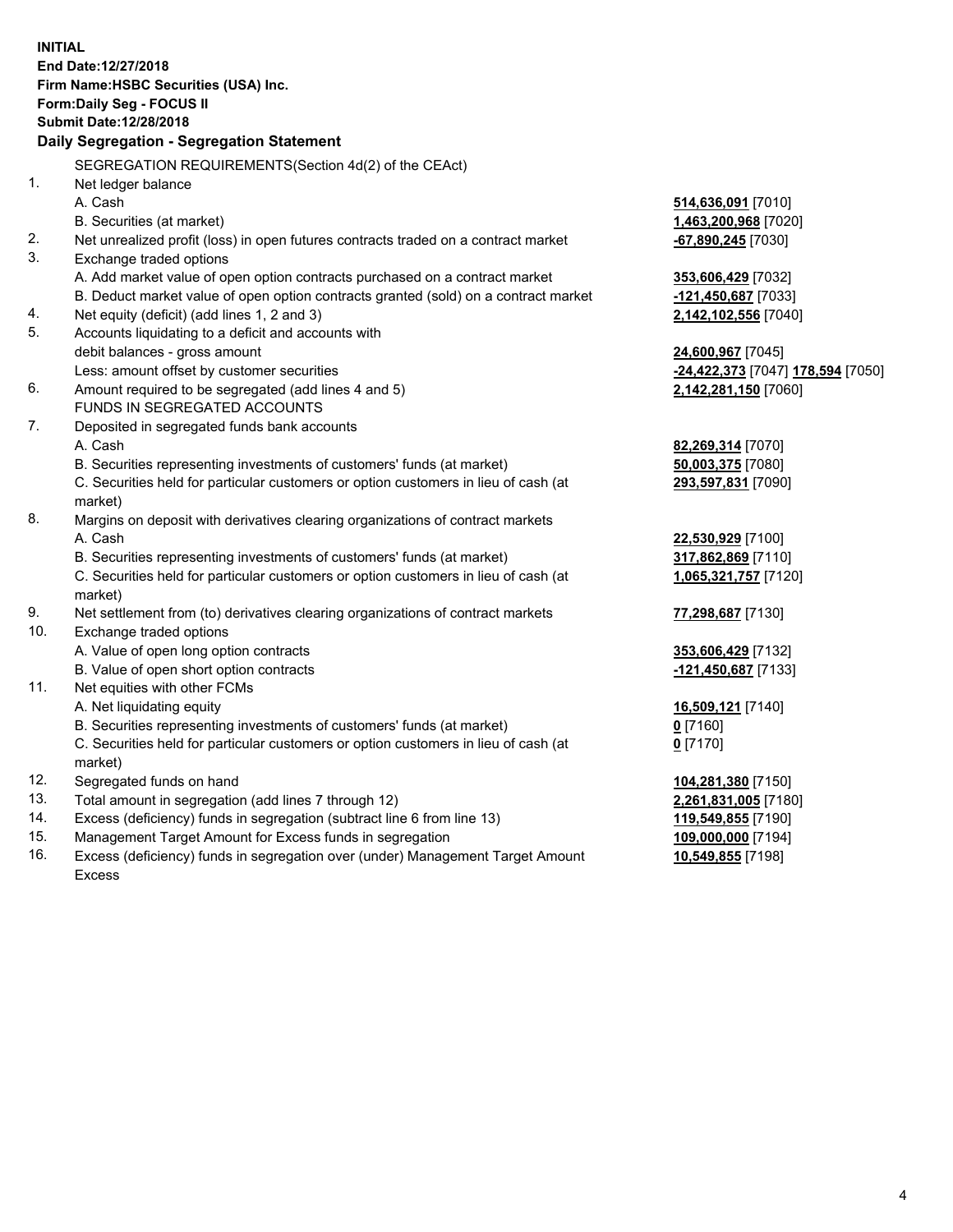|     | <b>INITIAL</b><br>End Date:12/27/2018<br>Firm Name: HSBC Securities (USA) Inc.<br>Form: Daily Seg - FOCUS II<br>Submit Date: 12/28/2018 |                                                |
|-----|-----------------------------------------------------------------------------------------------------------------------------------------|------------------------------------------------|
|     | Daily Segregation - Segregation Statement                                                                                               |                                                |
|     | SEGREGATION REQUIREMENTS(Section 4d(2) of the CEAct)                                                                                    |                                                |
| 1.  | Net ledger balance                                                                                                                      |                                                |
|     | A. Cash                                                                                                                                 | 514,636,091 [7010]                             |
|     | B. Securities (at market)                                                                                                               | 1,463,200,968 [7020]                           |
| 2.  | Net unrealized profit (loss) in open futures contracts traded on a contract market                                                      | -67,890,245 [7030]                             |
| 3.  | Exchange traded options                                                                                                                 |                                                |
|     | A. Add market value of open option contracts purchased on a contract market                                                             | 353,606,429 [7032]                             |
|     | B. Deduct market value of open option contracts granted (sold) on a contract market                                                     | -121,450,687 [7033]                            |
| 4.  | Net equity (deficit) (add lines 1, 2 and 3)                                                                                             | 2,142,102,556 [7040]                           |
| 5.  | Accounts liquidating to a deficit and accounts with                                                                                     |                                                |
|     | debit balances - gross amount                                                                                                           | 24,600,967 [7045]                              |
|     | Less: amount offset by customer securities                                                                                              | <mark>-24,422,373</mark> [7047] 178,594 [7050] |
| 6.  | Amount required to be segregated (add lines 4 and 5)                                                                                    | 2,142,281,150 [7060]                           |
|     | FUNDS IN SEGREGATED ACCOUNTS                                                                                                            |                                                |
| 7.  | Deposited in segregated funds bank accounts                                                                                             |                                                |
|     | A. Cash                                                                                                                                 | 82,269,314 [7070]                              |
|     | B. Securities representing investments of customers' funds (at market)                                                                  | 50,003,375 [7080]                              |
|     | C. Securities held for particular customers or option customers in lieu of cash (at                                                     | 293,597,831 [7090]                             |
|     | market)                                                                                                                                 |                                                |
| 8.  | Margins on deposit with derivatives clearing organizations of contract markets                                                          |                                                |
|     | A. Cash                                                                                                                                 | 22,530,929 [7100]                              |
|     | B. Securities representing investments of customers' funds (at market)                                                                  | 317,862,869 [7110]                             |
|     | C. Securities held for particular customers or option customers in lieu of cash (at                                                     | 1,065,321,757 [7120]                           |
|     | market)                                                                                                                                 |                                                |
| 9.  | Net settlement from (to) derivatives clearing organizations of contract markets                                                         | 77,298,687 [7130]                              |
| 10. | Exchange traded options                                                                                                                 |                                                |
|     | A. Value of open long option contracts                                                                                                  | 353,606,429 [7132]                             |
|     | B. Value of open short option contracts                                                                                                 | -121,450,687 [7133]                            |
| 11. | Net equities with other FCMs                                                                                                            |                                                |
|     | A. Net liquidating equity                                                                                                               | 16,509,121 [7140]                              |
|     | B. Securities representing investments of customers' funds (at market)                                                                  | $0$ [7160]                                     |
|     | C. Securities held for particular customers or option customers in lieu of cash (at                                                     | $0$ [7170]                                     |
|     | market)                                                                                                                                 |                                                |
| 12. | Segregated funds on hand                                                                                                                | 104,281,380 [7150]                             |
| 13. | Total amount in segregation (add lines 7 through 12)                                                                                    | 2,261,831,005 [7180]                           |
| 14. | Excess (deficiency) funds in segregation (subtract line 6 from line 13)                                                                 | 119,549,855 [7190]                             |
| 15. | Management Target Amount for Excess funds in segregation                                                                                | 109,000,000 [7194]                             |
| 16. | Excess (deficiency) funds in segregation over (under) Management Target Amount                                                          | 10,549,855 [7198]                              |

16. Excess (deficiency) funds in segregation over (under) Management Target Amount Excess